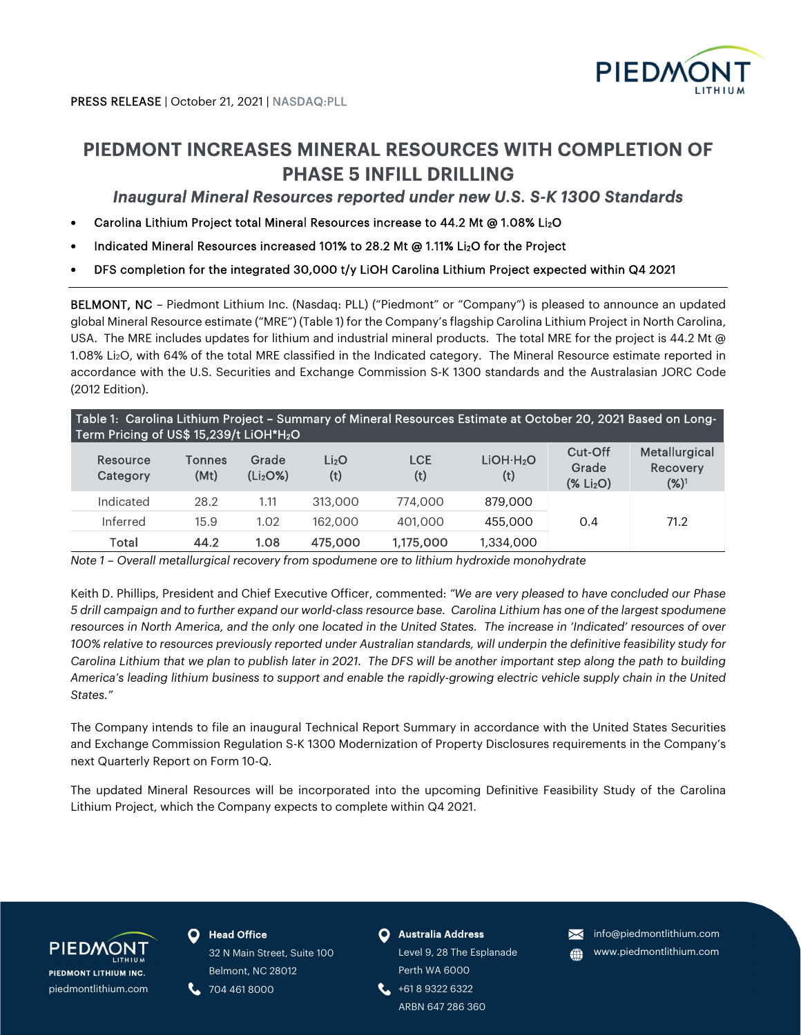

# PIEDMONT INCREASES MINERAL RESOURCES WITH COMPLETION OF PHASE 5 INFILL DRILLING

*Inaugural Mineral Resources reported under new U.S. S-K 1300 Standards* 

- Carolina Lithium Project total Mineral Resources increase to 44.2 Mt @ 1.08% Li<sub>2</sub>O
- Indicated Mineral Resources increased 101% to 28.2 Mt @ 1.11% Li2O for the Project
- DFS completion for the integrated 30,000 t/y LiOH Carolina Lithium Project expected within Q4 2021

BELMONT, NC – Piedmont Lithium Inc. (Nasdaq: PLL) ("Piedmont" or "Company") is pleased to announce an updated global Mineral Resource estimate ("MRE") (Table 1) for the Company's flagship Carolina Lithium Project in North Carolina, USA. The MRE includes updates for lithium and industrial mineral products. The total MRE for the project is 44.2 Mt @ 1.08% Li2O, with 64% of the total MRE classified in the Indicated category. The Mineral Resource estimate reported in accordance with the U.S. Securities and Exchange Commission S-K 1300 standards and the Australasian JORC Code (2012 Edition).

Table 1: Carolina Lithium Project – Summary of Mineral Resources Estimate at October 20, 2021 Based on Long-Term Pricing of US\$ 15,239/t LiOH\*H<sub>2</sub>O

| 1011111110111901000010720071100111120<br><b>Resource</b><br>Category | Tonnes<br>(Mt) | Grade<br>(Li <sub>2</sub> O%) | Li <sub>2</sub> O<br>(t) | <b>LCE</b><br>(t) | LiOH·H <sub>2</sub> O<br>(t) | Cut-Off<br>Grade<br>$(X$ Li <sub>2</sub> O) | <b>Metallurgical</b><br><b>Recovery</b><br>$(\%)^1$ |
|----------------------------------------------------------------------|----------------|-------------------------------|--------------------------|-------------------|------------------------------|---------------------------------------------|-----------------------------------------------------|
| Indicated                                                            | 28.2           | 1.11                          | 313,000                  | 774,000           | 879,000                      |                                             |                                                     |
| Inferred                                                             | 15.9           | 1.02                          | 162,000                  | 401,000           | 455,000                      | 0.4                                         | 71.2                                                |
| Total                                                                | 44.2           | 1.08                          | 475,000                  | 1.175,000         | 1,334,000                    |                                             |                                                     |

*Note 1 – Overall metallurgical recovery from spodumene ore to lithium hydroxide monohydrate* 

Keith D. Phillips, President and Chief Executive Officer, commented: *"We are very pleased to have concluded our Phase 5 drill campaign and to further expand our world-class resource base. Carolina Lithium has one of the largest spodumene resources in North America, and the only one located in the United States. The increase in 'Indicated' resources of over 100% relative to resources previously reported under Australian standards, will underpin the definitive feasibility study for Carolina Lithium that we plan to publish later in 2021. The DFS will be another important step along the path to building America's leading lithium business to support and enable the rapidly-growing electric vehicle supply chain in the United States."* 

The Company intends to file an inaugural Technical Report Summary in accordance with the United States Securities and Exchange Commission Regulation S-K 1300 Modernization of Property Disclosures requirements in the Company's next Quarterly Report on Form 10-Q.

The updated Mineral Resources will be incorporated into the upcoming Definitive Feasibility Study of the Carolina Lithium Project, which the Company expects to complete within Q4 2021.

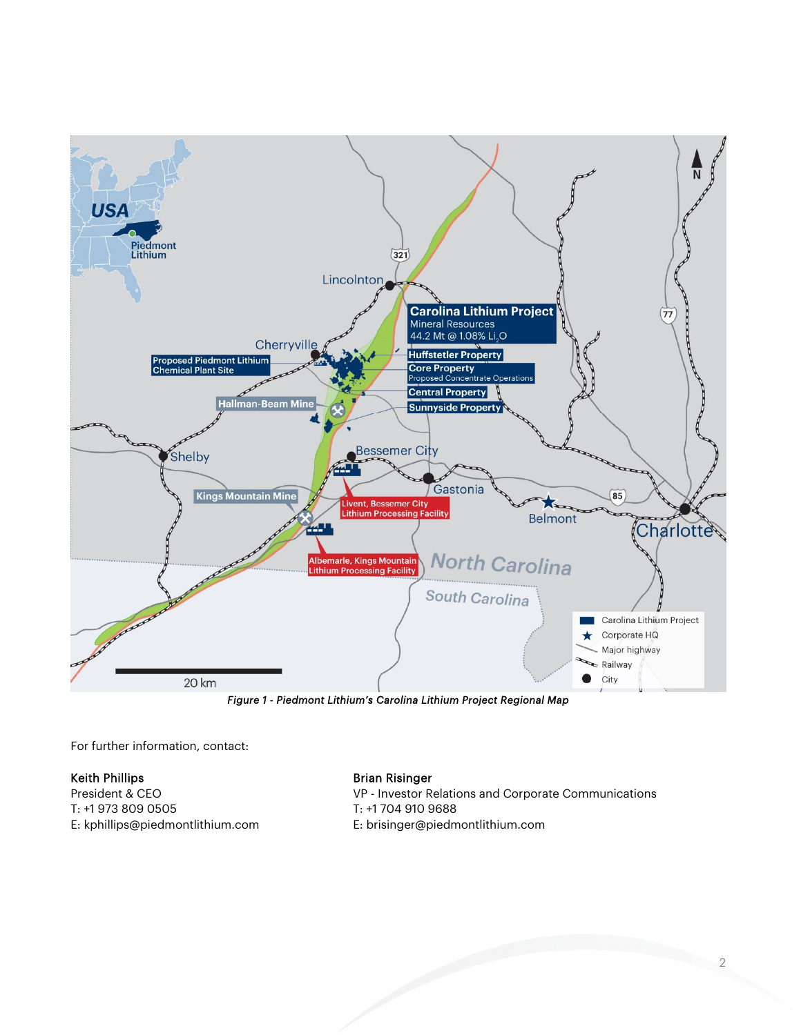

*Figure 1 - Piedmont Lithium's Carolina Lithium Project Regional Map* 

For further information, contact:

T: +1 973 809 0505 T: +1 704 910 9688

#### Keith Phillips **Brian Risinger** Brian Risinger

President & CEO VP - Investor Relations and Corporate Communications E: kphillips@piedmontlithium.com E: brisinger@piedmontlithium.com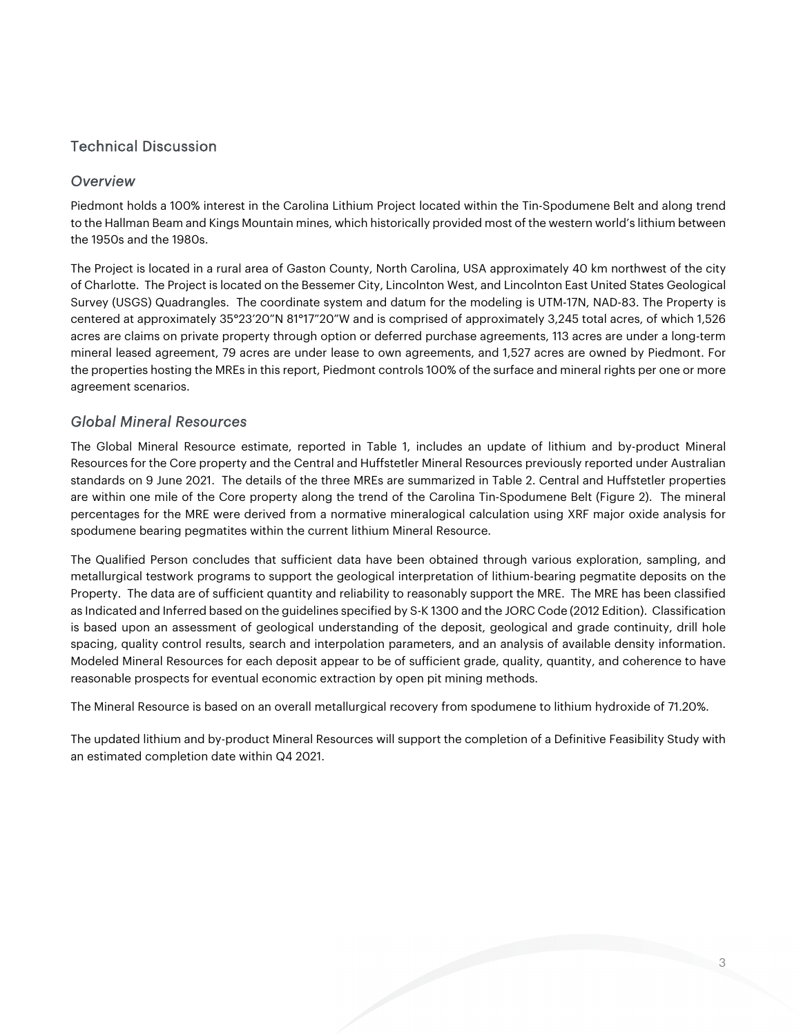## Technical Discussion

#### *Overview*

Piedmont holds a 100% interest in the Carolina Lithium Project located within the Tin-Spodumene Belt and along trend to the Hallman Beam and Kings Mountain mines, which historically provided most of the western world's lithium between the 1950s and the 1980s.

The Project is located in a rural area of Gaston County, North Carolina, USA approximately 40 km northwest of the city of Charlotte. The Project is located on the Bessemer City, Lincolnton West, and Lincolnton East United States Geological Survey (USGS) Quadrangles. The coordinate system and datum for the modeling is UTM-17N, NAD-83. The Property is centered at approximately 35°23'20"N 81°17"20"W and is comprised of approximately 3,245 total acres, of which 1,526 acres are claims on private property through option or deferred purchase agreements, 113 acres are under a long-term mineral leased agreement, 79 acres are under lease to own agreements, and 1,527 acres are owned by Piedmont. For the properties hosting the MREs in this report, Piedmont controls 100% of the surface and mineral rights per one or more agreement scenarios.

## *Global Mineral Resources*

The Global Mineral Resource estimate, reported in Table 1, includes an update of lithium and by-product Mineral Resources for the Core property and the Central and Huffstetler Mineral Resources previously reported under Australian standards on 9 June 2021. The details of the three MREs are summarized in Table 2. Central and Huffstetler properties are within one mile of the Core property along the trend of the Carolina Tin-Spodumene Belt (Figure 2). The mineral percentages for the MRE were derived from a normative mineralogical calculation using XRF major oxide analysis for spodumene bearing pegmatites within the current lithium Mineral Resource.

The Qualified Person concludes that sufficient data have been obtained through various exploration, sampling, and metallurgical testwork programs to support the geological interpretation of lithium-bearing pegmatite deposits on the Property. The data are of sufficient quantity and reliability to reasonably support the MRE. The MRE has been classified as Indicated and Inferred based on the guidelines specified by S-K 1300 and the JORC Code (2012 Edition). Classification is based upon an assessment of geological understanding of the deposit, geological and grade continuity, drill hole spacing, quality control results, search and interpolation parameters, and an analysis of available density information. Modeled Mineral Resources for each deposit appear to be of sufficient grade, quality, quantity, and coherence to have reasonable prospects for eventual economic extraction by open pit mining methods.

The Mineral Resource is based on an overall metallurgical recovery from spodumene to lithium hydroxide of 71.20%.

The updated lithium and by-product Mineral Resources will support the completion of a Definitive Feasibility Study with an estimated completion date within Q4 2021.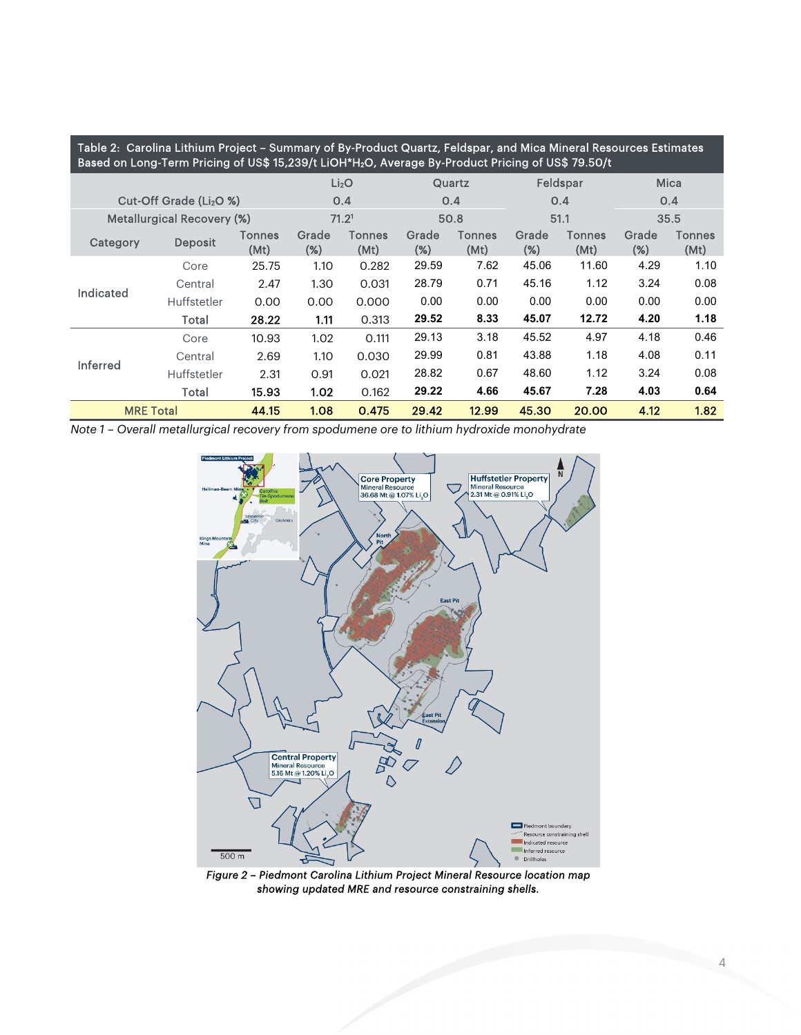| Table 2: Carolina Lithium Project – Summary of By-Product Quartz, Feldspar, and Mica Mineral Resources Estimates<br>Based on Long-Term Pricing of US\$ 15,239/t LiOH*H <sub>2</sub> O, Average By-Product Pricing of US\$ 79.50/t |                |                   |                   |                       |                 |                       |                 |                       |                 |                |
|-----------------------------------------------------------------------------------------------------------------------------------------------------------------------------------------------------------------------------------|----------------|-------------------|-------------------|-----------------------|-----------------|-----------------------|-----------------|-----------------------|-----------------|----------------|
|                                                                                                                                                                                                                                   |                |                   | Li <sub>2</sub> O |                       | Quartz          |                       | Feldspar        |                       | <b>Mica</b>     |                |
| Cut-Off Grade (Li <sub>2</sub> O %)                                                                                                                                                                                               |                |                   | 0.4               |                       | 0.4             |                       | 0.4             |                       | 0.4             |                |
| <b>Metallurgical Recovery (%)</b>                                                                                                                                                                                                 |                | 71.2 <sup>1</sup> |                   | 50.8                  |                 | 51.1                  |                 | 35.5                  |                 |                |
| Category                                                                                                                                                                                                                          | <b>Deposit</b> | Tonnes<br>(Mt)    | Grade<br>$(\%)$   | <b>Tonnes</b><br>(Mt) | Grade<br>$(\%)$ | <b>Tonnes</b><br>(Mt) | Grade<br>$(\%)$ | <b>Tonnes</b><br>(Mt) | Grade<br>$(\%)$ | Tonnes<br>(Mt) |
| <b>Indicated</b>                                                                                                                                                                                                                  | Core           | 25.75             | 1.10              | 0.282                 | 29.59           | 7.62                  | 45.06           | 11.60                 | 4.29            | 1.10           |
|                                                                                                                                                                                                                                   | Central        | 2.47              | 1.30              | 0.031                 | 28.79           | 0.71                  | 45.16           | 1.12                  | 3.24            | 0.08           |
|                                                                                                                                                                                                                                   | Huffstetler    | 0.00              | 0.00              | 0.000                 | 0.00            | 0.00                  | 0.00            | 0.00                  | 0.00            | 0.00           |
|                                                                                                                                                                                                                                   | Total          | 28.22             | 1.11              | 0.313                 | 29.52           | 8.33                  | 45.07           | 12.72                 | 4.20            | 1.18           |
| Inferred                                                                                                                                                                                                                          | Core           | 10.93             | 1.02              | 0.111                 | 29.13           | 3.18                  | 45.52           | 4.97                  | 4.18            | 0.46           |
|                                                                                                                                                                                                                                   | Central        | 2.69              | 1.10              | 0.030                 | 29.99           | 0.81                  | 43.88           | 1.18                  | 4.08            | 0.11           |
|                                                                                                                                                                                                                                   | Huffstetler    | 2.31              | 0.91              | 0.021                 | 28.82           | 0.67                  | 48.60           | 1.12                  | 3.24            | 0.08           |
|                                                                                                                                                                                                                                   | Total          | 15.93             | 1.02              | 0.162                 | 29.22           | 4.66                  | 45.67           | 7.28                  | 4.03            | 0.64           |
| <b>MRE Total</b>                                                                                                                                                                                                                  |                | 44.15             | 1.08              | 0.475                 | 29.42           | 12.99                 | 45.30           | 20.00                 | 4.12            | 1.82           |

*Note 1 – Overall metallurgical recovery from spodumene ore to lithium hydroxide monohydrate* 



*Figure 2 – Piedmont Carolina Lithium Project Mineral Resource location map showing updated MRE and resource constraining shells.*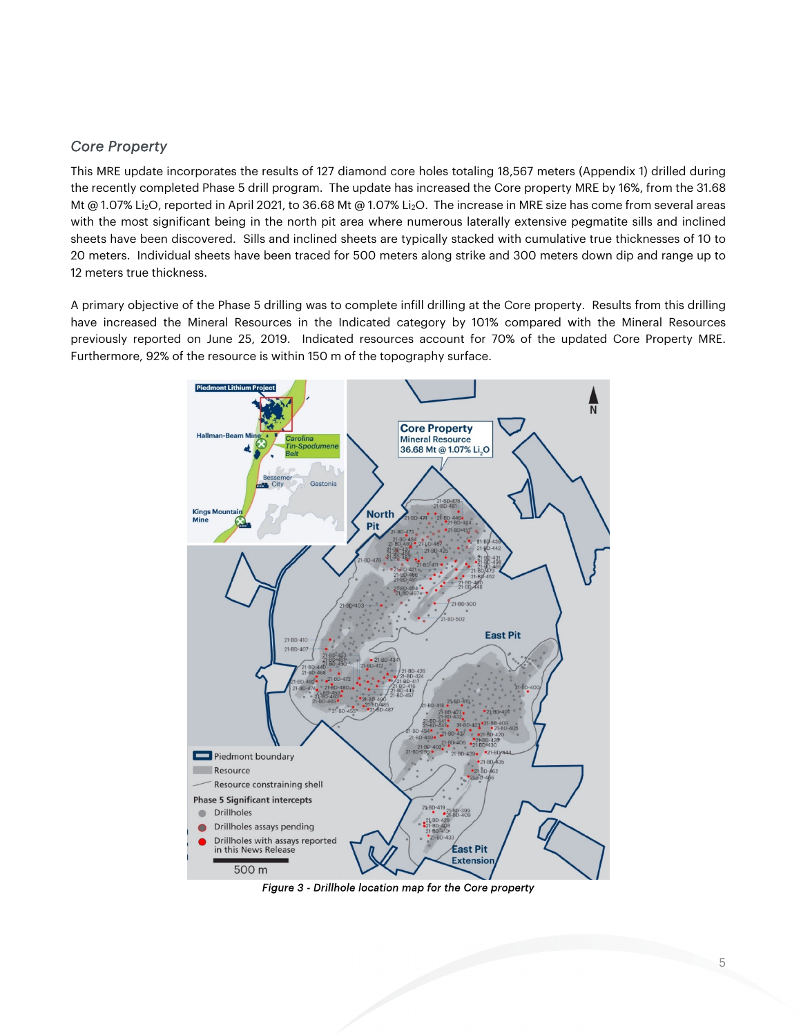#### *Core Property*

This MRE update incorporates the results of 127 diamond core holes totaling 18,567 meters (Appendix 1) drilled during the recently completed Phase 5 drill program. The update has increased the Core property MRE by 16%, from the 31.68 Mt @ 1.07% Li<sub>2</sub>O, reported in April 2021, to 36.68 Mt @ 1.07% Li<sub>2</sub>O. The increase in MRE size has come from several areas with the most significant being in the north pit area where numerous laterally extensive pegmatite sills and inclined sheets have been discovered. Sills and inclined sheets are typically stacked with cumulative true thicknesses of 10 to 20 meters. Individual sheets have been traced for 500 meters along strike and 300 meters down dip and range up to 12 meters true thickness.

A primary objective of the Phase 5 drilling was to complete infill drilling at the Core property. Results from this drilling have increased the Mineral Resources in the Indicated category by 101% compared with the Mineral Resources previously reported on June 25, 2019. Indicated resources account for 70% of the updated Core Property MRE. Furthermore, 92% of the resource is within 150 m of the topography surface.



*Figure 3 - Drillhole location map for the Core property*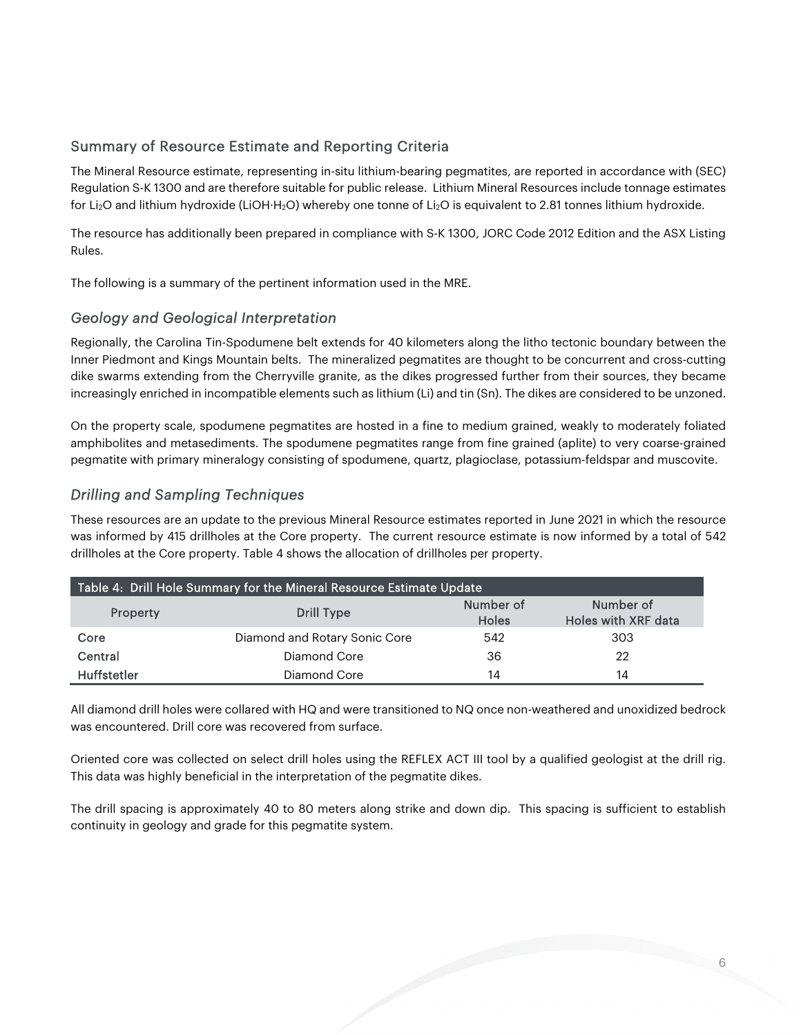## Summary of Resource Estimate and Reporting Criteria

The Mineral Resource estimate, representing in-situ lithium-bearing pegmatites, are reported in accordance with (SEC) Regulation S-K 1300 and are therefore suitable for public release. Lithium Mineral Resources include tonnage estimates for Li<sub>2</sub>O and lithium hydroxide (LiOH·H<sub>2</sub>O) whereby one tonne of Li<sub>2</sub>O is equivalent to 2.81 tonnes lithium hydroxide.

The resource has additionally been prepared in compliance with S-K 1300, JORC Code 2012 Edition and the ASX Listing Rules.

The following is a summary of the pertinent information used in the MRE.

## *Geology and Geological Interpretation*

Regionally, the Carolina Tin-Spodumene belt extends for 40 kilometers along the litho tectonic boundary between the Inner Piedmont and Kings Mountain belts. The mineralized pegmatites are thought to be concurrent and cross-cutting dike swarms extending from the Cherryville granite, as the dikes progressed further from their sources, they became increasingly enriched in incompatible elements such as lithium (Li) and tin (Sn). The dikes are considered to be unzoned.

On the property scale, spodumene pegmatites are hosted in a fine to medium grained, weakly to moderately foliated amphibolites and metasediments. The spodumene pegmatites range from fine grained (aplite) to very coarse-grained pegmatite with primary mineralogy consisting of spodumene, quartz, plagioclase, potassium-feldspar and muscovite.

## *Drilling and Sampling Techniques*

These resources are an update to the previous Mineral Resource estimates reported in June 2021 in which the resource was informed by 415 drillholes at the Core property. The current resource estimate is now informed by a total of 542 drillholes at the Core property. Table 4 shows the allocation of drillholes per property.

| Table 4: Drill Hole Summary for the Mineral Resource Estimate Update |                               |                           |                                         |  |  |  |  |
|----------------------------------------------------------------------|-------------------------------|---------------------------|-----------------------------------------|--|--|--|--|
| <b>Property</b>                                                      | Drill Type                    | Number of<br><b>Holes</b> | Number of<br><b>Holes with XRF data</b> |  |  |  |  |
| Core                                                                 | Diamond and Rotary Sonic Core | 542                       | 303                                     |  |  |  |  |
| Central                                                              | Diamond Core                  | 36                        | 22                                      |  |  |  |  |
| <b>Huffstetler</b>                                                   | Diamond Core                  | 14                        | 14                                      |  |  |  |  |

All diamond drill holes were collared with HQ and were transitioned to NQ once non-weathered and unoxidized bedrock was encountered. Drill core was recovered from surface.

Oriented core was collected on select drill holes using the REFLEX ACT III tool by a qualified geologist at the drill rig. This data was highly beneficial in the interpretation of the pegmatite dikes.

The drill spacing is approximately 40 to 80 meters along strike and down dip. This spacing is sufficient to establish continuity in geology and grade for this pegmatite system.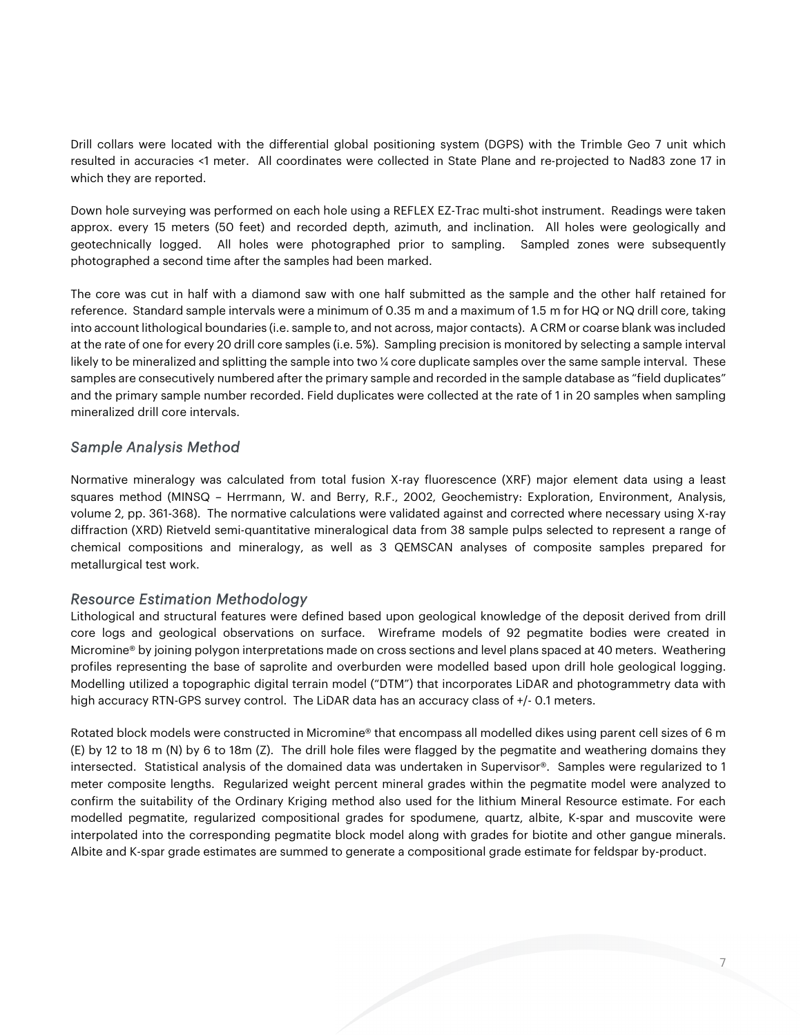Drill collars were located with the differential global positioning system (DGPS) with the Trimble Geo 7 unit which resulted in accuracies <1 meter. All coordinates were collected in State Plane and re-projected to Nad83 zone 17 in which they are reported.

Down hole surveying was performed on each hole using a REFLEX EZ-Trac multi-shot instrument. Readings were taken approx. every 15 meters (50 feet) and recorded depth, azimuth, and inclination. All holes were geologically and geotechnically logged. All holes were photographed prior to sampling. Sampled zones were subsequently photographed a second time after the samples had been marked.

The core was cut in half with a diamond saw with one half submitted as the sample and the other half retained for reference. Standard sample intervals were a minimum of 0.35 m and a maximum of 1.5 m for HQ or NQ drill core, taking into account lithological boundaries (i.e. sample to, and not across, major contacts). A CRM or coarse blank was included at the rate of one for every 20 drill core samples (i.e. 5%). Sampling precision is monitored by selecting a sample interval likely to be mineralized and splitting the sample into two ¼ core duplicate samples over the same sample interval. These samples are consecutively numbered after the primary sample and recorded in the sample database as "field duplicates" and the primary sample number recorded. Field duplicates were collected at the rate of 1 in 20 samples when sampling mineralized drill core intervals.

## *Sample Analysis Method*

Normative mineralogy was calculated from total fusion X-ray fluorescence (XRF) major element data using a least squares method (MINSQ – Herrmann, W. and Berry, R.F., 2002, Geochemistry: Exploration, Environment, Analysis, volume 2, pp. 361-368). The normative calculations were validated against and corrected where necessary using X-ray diffraction (XRD) Rietveld semi-quantitative mineralogical data from 38 sample pulps selected to represent a range of chemical compositions and mineralogy, as well as 3 QEMSCAN analyses of composite samples prepared for metallurgical test work.

#### *Resource Estimation Methodology*

Lithological and structural features were defined based upon geological knowledge of the deposit derived from drill core logs and geological observations on surface. Wireframe models of 92 pegmatite bodies were created in Micromine® by joining polygon interpretations made on cross sections and level plans spaced at 40 meters. Weathering profiles representing the base of saprolite and overburden were modelled based upon drill hole geological logging. Modelling utilized a topographic digital terrain model ("DTM") that incorporates LiDAR and photogrammetry data with high accuracy RTN-GPS survey control. The LiDAR data has an accuracy class of +/- 0.1 meters.

Rotated block models were constructed in Micromine® that encompass all modelled dikes using parent cell sizes of 6 m (E) by 12 to 18 m (N) by 6 to 18m (Z). The drill hole files were flagged by the pegmatite and weathering domains they intersected. Statistical analysis of the domained data was undertaken in Supervisor®. Samples were regularized to 1 meter composite lengths. Regularized weight percent mineral grades within the pegmatite model were analyzed to confirm the suitability of the Ordinary Kriging method also used for the lithium Mineral Resource estimate. For each modelled pegmatite, regularized compositional grades for spodumene, quartz, albite, K-spar and muscovite were interpolated into the corresponding pegmatite block model along with grades for biotite and other gangue minerals. Albite and K-spar grade estimates are summed to generate a compositional grade estimate for feldspar by-product.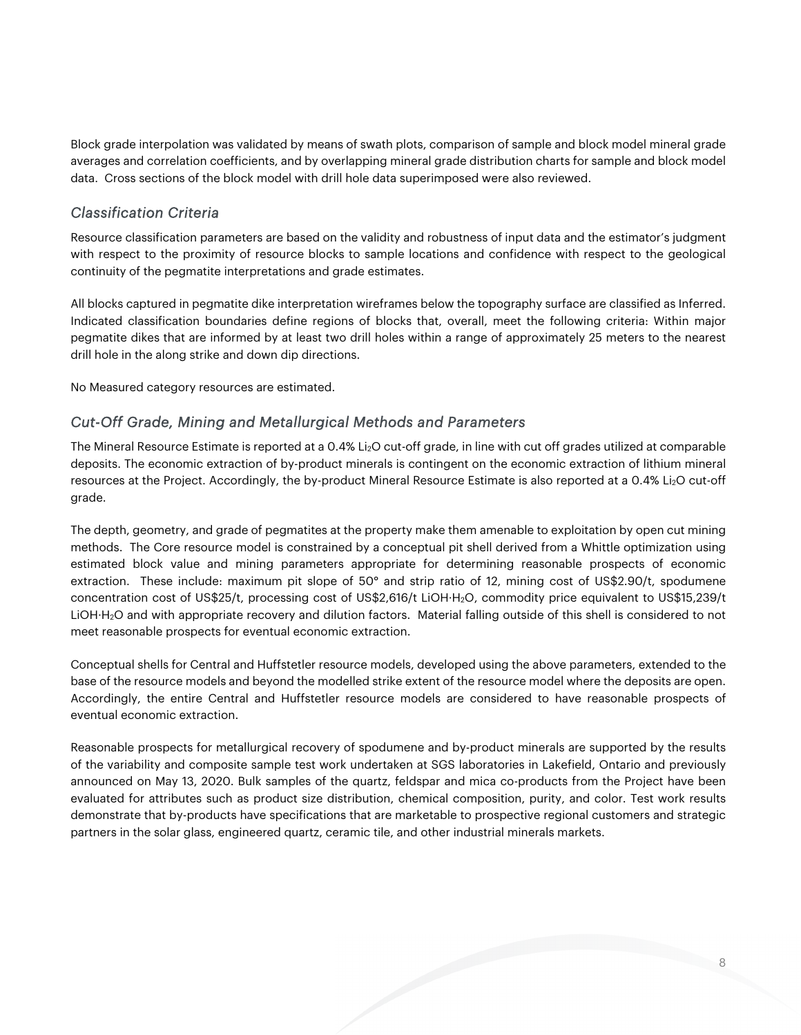Block grade interpolation was validated by means of swath plots, comparison of sample and block model mineral grade averages and correlation coefficients, and by overlapping mineral grade distribution charts for sample and block model data. Cross sections of the block model with drill hole data superimposed were also reviewed.

#### *Classification Criteria*

Resource classification parameters are based on the validity and robustness of input data and the estimator's judgment with respect to the proximity of resource blocks to sample locations and confidence with respect to the geological continuity of the pegmatite interpretations and grade estimates.

All blocks captured in pegmatite dike interpretation wireframes below the topography surface are classified as Inferred. Indicated classification boundaries define regions of blocks that, overall, meet the following criteria: Within major pegmatite dikes that are informed by at least two drill holes within a range of approximately 25 meters to the nearest drill hole in the along strike and down dip directions.

No Measured category resources are estimated.

#### *Cut-Off Grade, Mining and Metallurgical Methods and Parameters*

The Mineral Resource Estimate is reported at a 0.4% Li2O cut-off grade, in line with cut off grades utilized at comparable deposits. The economic extraction of by-product minerals is contingent on the economic extraction of lithium mineral resources at the Project. Accordingly, the by-product Mineral Resource Estimate is also reported at a 0.4% Li2O cut-off grade.

The depth, geometry, and grade of pegmatites at the property make them amenable to exploitation by open cut mining methods. The Core resource model is constrained by a conceptual pit shell derived from a Whittle optimization using estimated block value and mining parameters appropriate for determining reasonable prospects of economic extraction. These include: maximum pit slope of 50° and strip ratio of 12, mining cost of US\$2.90/t, spodumene concentration cost of US\$25/t, processing cost of US\$2,616/t LiOH·H2O, commodity price equivalent to US\$15,239/t LiOH·H2O and with appropriate recovery and dilution factors. Material falling outside of this shell is considered to not meet reasonable prospects for eventual economic extraction.

Conceptual shells for Central and Huffstetler resource models, developed using the above parameters, extended to the base of the resource models and beyond the modelled strike extent of the resource model where the deposits are open. Accordingly, the entire Central and Huffstetler resource models are considered to have reasonable prospects of eventual economic extraction.

Reasonable prospects for metallurgical recovery of spodumene and by-product minerals are supported by the results of the variability and composite sample test work undertaken at SGS laboratories in Lakefield, Ontario and previously announced on May 13, 2020. Bulk samples of the quartz, feldspar and mica co-products from the Project have been evaluated for attributes such as product size distribution, chemical composition, purity, and color. Test work results demonstrate that by-products have specifications that are marketable to prospective regional customers and strategic partners in the solar glass, engineered quartz, ceramic tile, and other industrial minerals markets.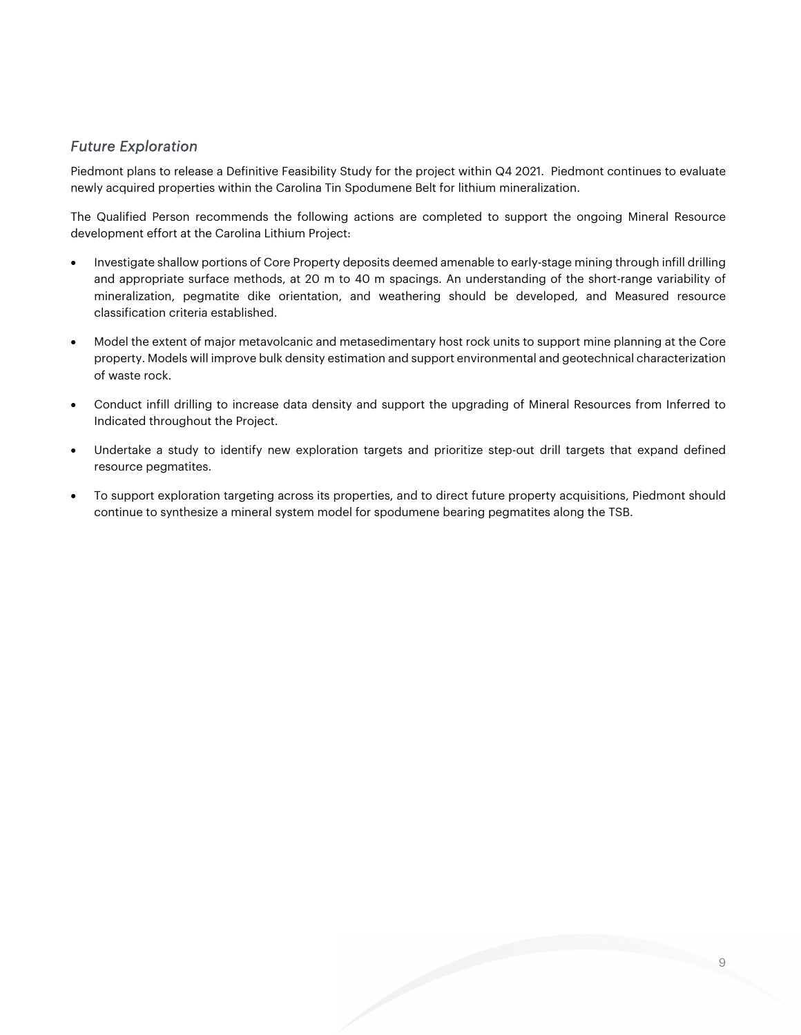## *Future Exploration*

Piedmont plans to release a Definitive Feasibility Study for the project within Q4 2021. Piedmont continues to evaluate newly acquired properties within the Carolina Tin Spodumene Belt for lithium mineralization.

The Qualified Person recommends the following actions are completed to support the ongoing Mineral Resource development effort at the Carolina Lithium Project:

- Investigate shallow portions of Core Property deposits deemed amenable to early-stage mining through infill drilling and appropriate surface methods, at 20 m to 40 m spacings. An understanding of the short-range variability of mineralization, pegmatite dike orientation, and weathering should be developed, and Measured resource classification criteria established.
- Model the extent of major metavolcanic and metasedimentary host rock units to support mine planning at the Core property. Models will improve bulk density estimation and support environmental and geotechnical characterization of waste rock.
- Conduct infill drilling to increase data density and support the upgrading of Mineral Resources from Inferred to Indicated throughout the Project.
- Undertake a study to identify new exploration targets and prioritize step-out drill targets that expand defined resource pegmatites.
- To support exploration targeting across its properties, and to direct future property acquisitions, Piedmont should continue to synthesize a mineral system model for spodumene bearing pegmatites along the TSB.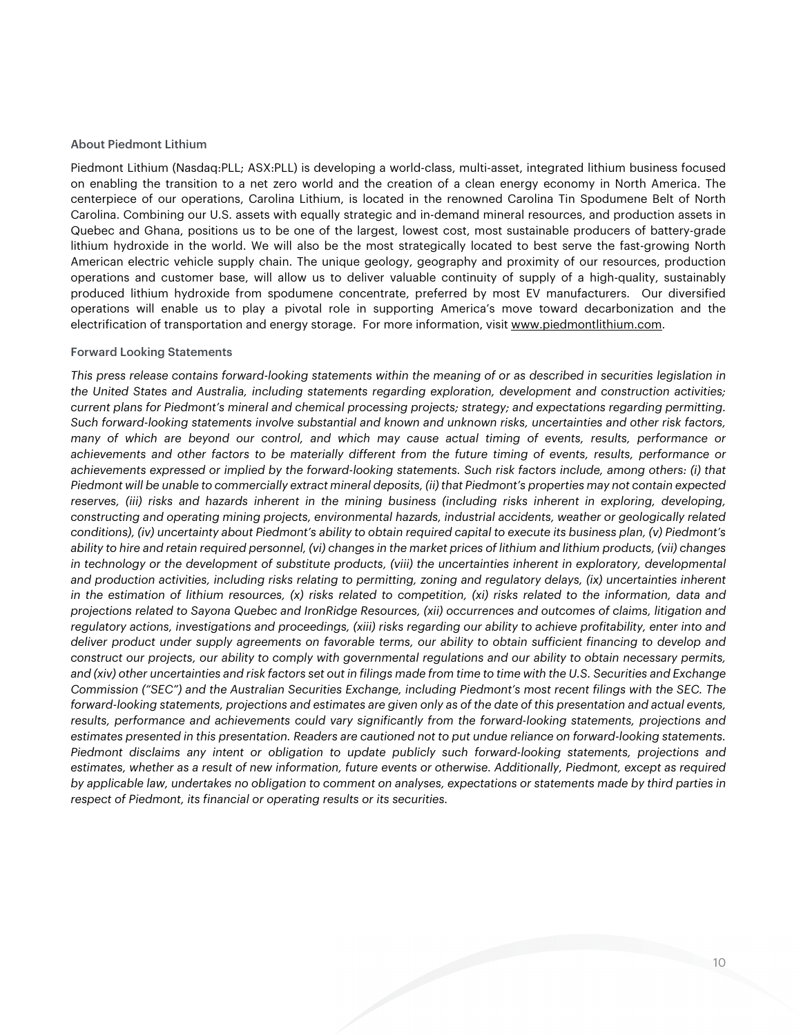#### About Piedmont Lithium

Piedmont Lithium (Nasdaq:PLL; ASX:PLL) is developing a world-class, multi-asset, integrated lithium business focused on enabling the transition to a net zero world and the creation of a clean energy economy in North America. The centerpiece of our operations, Carolina Lithium, is located in the renowned Carolina Tin Spodumene Belt of North Carolina. Combining our U.S. assets with equally strategic and in-demand mineral resources, and production assets in Quebec and Ghana, positions us to be one of the largest, lowest cost, most sustainable producers of battery-grade lithium hydroxide in the world. We will also be the most strategically located to best serve the fast-growing North American electric vehicle supply chain. The unique geology, geography and proximity of our resources, production operations and customer base, will allow us to deliver valuable continuity of supply of a high-quality, sustainably produced lithium hydroxide from spodumene concentrate, preferred by most EV manufacturers. Our diversified operations will enable us to play a pivotal role in supporting America's move toward decarbonization and the electrification of transportation and energy storage. For more information, visit www.piedmontlithium.com.

#### Forward Looking Statements

*This press release contains forward-looking statements within the meaning of or as described in securities legislation in the United States and Australia, including statements regarding exploration, development and construction activities; current plans for Piedmont's mineral and chemical processing projects; strategy; and expectations regarding permitting. Such forward-looking statements involve substantial and known and unknown risks, uncertainties and other risk factors, many of which are beyond our control, and which may cause actual timing of events, results, performance or achievements and other factors to be materially different from the future timing of events, results, performance or achievements expressed or implied by the forward-looking statements. Such risk factors include, among others: (i) that Piedmont will be unable to commercially extract mineral deposits, (ii) that Piedmont's properties may not contain expected*  reserves, (iii) risks and hazards inherent in the mining business (including risks inherent in exploring, developing, *constructing and operating mining projects, environmental hazards, industrial accidents, weather or geologically related conditions), (iv) uncertainty about Piedmont's ability to obtain required capital to execute its business plan, (v) Piedmont's ability to hire and retain required personnel, (vi) changes in the market prices of lithium and lithium products, (vii) changes in technology or the development of substitute products, (viii) the uncertainties inherent in exploratory, developmental and production activities, including risks relating to permitting, zoning and regulatory delays, (ix) uncertainties inherent in the estimation of lithium resources, (x) risks related to competition, (xi) risks related to the information, data and projections related to Sayona Quebec and IronRidge Resources, (xii) occurrences and outcomes of claims, litigation and regulatory actions, investigations and proceedings, (xiii) risks regarding our ability to achieve profitability, enter into and deliver product under supply agreements on favorable terms, our ability to obtain sufficient financing to develop and construct our projects, our ability to comply with governmental regulations and our ability to obtain necessary permits, and (xiv) other uncertainties and risk factors set out in filings made from time to time with the U.S. Securities and Exchange Commission ("SEC") and the Australian Securities Exchange, including Piedmont's most recent filings with the SEC. The forward-looking statements, projections and estimates are given only as of the date of this presentation and actual events,*  results, performance and achievements could vary significantly from the forward-looking statements, projections and *estimates presented in this presentation. Readers are cautioned not to put undue reliance on forward-looking statements. Piedmont disclaims any intent or obligation to update publicly such forward-looking statements, projections and estimates, whether as a result of new information, future events or otherwise. Additionally, Piedmont, except as required by applicable law, undertakes no obligation to comment on analyses, expectations or statements made by third parties in respect of Piedmont, its financial or operating results or its securities.*